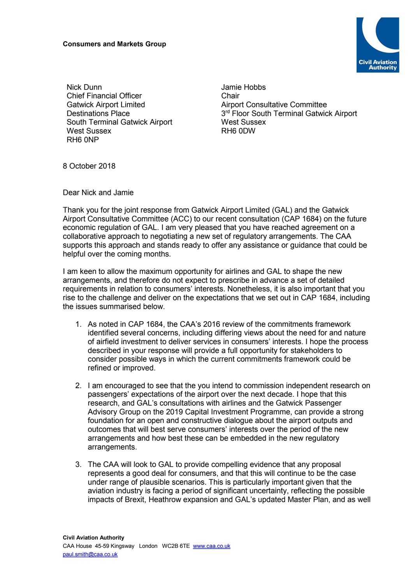

Nick Dunn Chief Financial Officer Gatwick Airport Limited Destinations Place South Terminal Gatwick Airport West Sussex RH6 0NP

Jamie Hobbs **Chair** Airport Consultative Committee 3<sup>rd</sup> Floor South Terminal Gatwick Airport West Sussex RH6 0DW

8 October 2018

Dear Nick and Jamie

Thank you for the joint response from Gatwick Airport Limited (GAL) and the Gatwick Airport Consultative Committee (ACC) to our recent consultation (CAP 1684) on the future economic regulation of GAL. I am very pleased that you have reached agreement on a collaborative approach to negotiating a new set of regulatory arrangements. The CAA supports this approach and stands ready to offer any assistance or guidance that could be helpful over the coming months.

I am keen to allow the maximum opportunity for airlines and GAL to shape the new arrangements, and therefore do not expect to prescribe in advance a set of detailed requirements in relation to consumers' interests. Nonetheless, it is also important that you rise to the challenge and deliver on the expectations that we set out in CAP 1684, including the issues summarised below.

- 1. As noted in CAP 1684, the CAA's 2016 review of the commitments framework identified several concerns, including differing views about the need for and nature of airfield investment to deliver services in consumers' interests. I hope the process described in your response will provide a full opportunity for stakeholders to consider possible ways in which the current commitments framework could be refined or improved.
- 2. I am encouraged to see that the you intend to commission independent research on passengers' expectations of the airport over the next decade. I hope that this research, and GAL's consultations with airlines and the Gatwick Passenger Advisory Group on the 2019 Capital Investment Programme, can provide a strong foundation for an open and constructive dialogue about the airport outputs and outcomes that will best serve consumers' interests over the period of the new arrangements and how best these can be embedded in the new regulatory arrangements.
- 3. The CAA will look to GAL to provide compelling evidence that any proposal represents a good deal for consumers, and that this will continue to be the case under range of plausible scenarios. This is particularly important given that the aviation industry is facing a period of significant uncertainty, reflecting the possible impacts of Brexit, Heathrow expansion and GAL's updated Master Plan, and as well